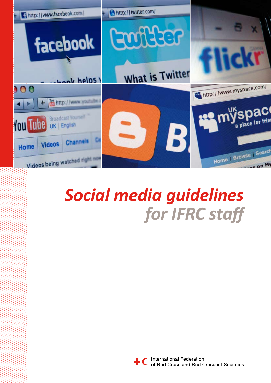

# *Social media guidelines for IFRC staff*



**International Federation** of Red Cross and Red Crescent Societies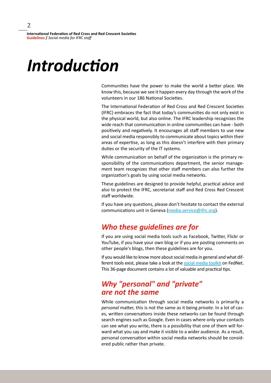# *Introduction*

Communities have the power to make the world a better place. We know this, because we see it happen every day through the work of the volunteers in our 186 National Societies.

The International Federation of Red Cross and Red Crescent Societies (IFRC) embraces the fact that today's communities do not only exist in the physical world, but also online. The IFRC leadership recognizes the wide reach that communication in online communities can have - both positively and negatively. It encourages all staff members to use new and social media responsibly to communicate about topics within their areas of expertise, as long as this doesn't interfere with their primary duties or the security of the IT systems.

While communication on behalf of the organization is the primary responsibility of the communications department, the senior management team recognizes that other staff members can also further the organization's goals by using social media networks.

These guidelines are designed to provide helpful, practical advice and also to protect the IFRC, secretariat staff and Red Cross Red Crescent staff worldwide.

If you have any questions, please don't hesitate to contact the external communications unit in Geneva ([media.service@ifrc.org](mailto:media.service@ifrc.org)).

# *Who these guidelines are for*

If you are using social media tools such as Facebook, Twitter, Flickr or YouTube, if you have your own blog or if you are posting comments on other people's blogs, then these guidelines are for you.

If you would like to know more about social media in general and what different tools exist, please take a look at the [social media toolkit](https://fednet.ifrc.org/sw163509.asp) on FedNet. This 36-page document contains a lot of valuable and practical tips.

# *Why "personal" and "private" are not the same*

While communication through social media networks is primarily a *personal* matter, this is not the same as it being *private*. In a lot of cases, written conversations inside these networks can be found through search engines such as Google. Even in cases where only your contacts can see what you write, there is a possibility that one of them will forward what you say and make it visible to a wider audience. As a result, personal conversation within social media networks should be considered public rather than private.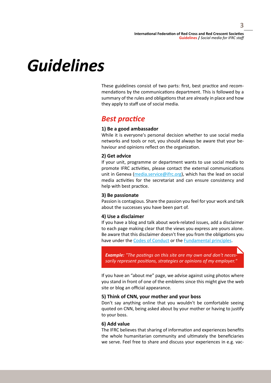# *Guidelines*

These guidelines consist of two parts: first, best practice and recommendations by the communications department. This is followed by a summary of the rules and obligations that are already in place and how they apply to staff use of social media.

# *Best practice*

## **1) Be a good ambassador**

While it is everyone's personal decision whether to use social media networks and tools or not, you should always be aware that your behaviour and opinions reflect on the organization.

# **2) Get advice**

If your unit, programme or department wants to use social media to promote IFRC activities, please contact the external communications unit in Geneva [\(media.service@ifrc.org\)](mailto:media.service@ifrc.org), which has the lead on social media activities for the secretariat and can ensure consistency and help with best practice.

## **3) Be passionate**

Passion is contagious. Share the passion you feel for your work and talk about the successes you have been part of.

## **4) Use a disclaimer**

If you have a blog and talk about work-related issues, add a disclaimer to each page making clear that the views you express are yours alone. Be aware that this disclaimer doesn't free you from the obligations you have under the [Codes of Conduct](https://fednet.ifrc.org/sw6001.asp) or the [Fundamental principles.](http://www.ifrc.org/what/values/principles/index.asp)

*Example: "The postings on this site are my own and don't necessarily represent positions, strategies or opinions of my employer."*

If you have an "about me" page, we advise against using photos where you stand in front of one of the emblems since this might give the web site or blog an official appearance.

## **5) Think of CNN, your mother and your boss**

Don't say anything online that you wouldn't be comfortable seeing quoted on CNN, being asked about by your mother or having to justify to your boss.

# **6) Add value**

The IFRC believes that sharing of information and experiences benefits the whole humanitarian community and ultimately the beneficiaries we serve. Feel free to share and discuss your experiences in e.g. vac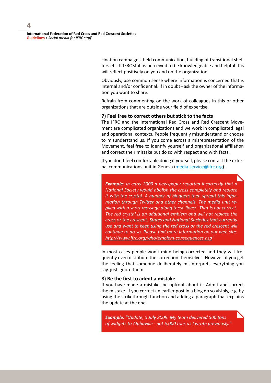**International Federation of Red Cross and Red Crescent Societies Guidelines /** *Social media for IFRC staff*

> cination campaigns, field communication, building of transitional shelters etc. If IFRC staff is perceived to be knowledgeable and helpful this will reflect positively on you and on the organization.

> Obviously, use common sense where information is concerned that is internal and/or confidential. If in doubt - ask the owner of the information you want to share.

> Refrain from commenting on the work of colleagues in this or other organizations that are outside your field of expertise.

#### **7) Feel free to correct others but stick to the facts**

The IFRC and the International Red Cross and Red Crescent Movement are complicated organizations and we work in complicated legal and operational contexts. People frequently misunderstand or choose to misunderstand us. If you come across a misrepresentation of the Movement, feel free to identify yourself and organizational affiliation and correct their mistake but do so with respect and with facts.

If you don't feel comfortable doing it yourself, please contact the external communications unit in Geneva ([media.service@ifrc.org](mailto:media.service@ifrc.org)).

*Example: In early 2009 a newspaper reported incorrectly that a National Society would abolish the cross completely and replace it with the crystal. A number of bloggers then spread this information through Twitter and other channels. The media unit replied with a short message along these lines: "That is not correct. The red crystal is an additional emblem and will not replace the cross or the crescent. States and National Societies that currently use and want to keep using the red cross or the red crescent will continue to do so. Please find more information on our web site: [http://www.ifrc.org/who/emblem-consequences.as](http://www.ifrc.org/who/emblem-consequences.asp)p"*

In most cases people won't mind being corrected and they will frequently even distribute the correction themselves. However, if you get the feeling that someone deliberately misinterprets everything you say, just ignore them.

#### **8) Be the first to admit a mistake**

If you have made a mistake, be upfront about it. Admit and correct the mistake. If you correct an earlier post in a blog do so visibly, e.g. by using the strikethrough function and adding a paragraph that explains the update at the end.

*Example: "Update, 5 July 2009: My team delivered 500 tons of widgets to Alphaville - not 5,000 tons as I wrote previously."*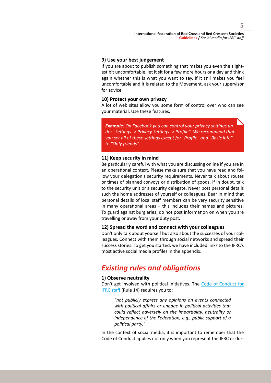## **9) Use your best judgement**

If you are about to publish something that makes you even the slightest bit uncomfortable, let it sit for a few more hours or a day and think again whether this is what you want to say. If it still makes you feel uncomfortable and it is related to the Movement, ask your supervisor for advice.

## **10) Protect your own privacy**

A lot of web sites allow you some form of control over who can see your material. Use these features.

*Example: On Facebook you can control your privacy settings under "Settings -> Privacy Settings -> Profile". We recommend that you set all of these settings except for "Profile" and "Basic info" to "Only friends".*

#### **11) Keep security in mind**

Be particularly careful with what you are discussing online if you are in an operational context. Please make sure that you have read and follow your delegation's security requirements. Never talk about routes or times of planned convoys or distribution of goods. If in doubt, talk to the security unit or a security delegate. Never post personal details such the home addresses of yourself or colleagues. Bear in mind that personal details of local staff members can be very security sensitive in many operational areas – this includes their names and pictures. To guard against burglaries, do not post information on when you are travelling or away from your duty post.

#### **12) Spread the word and connect with your colleagues**

Don't only talk about yourself but also about the successes of your colleagues. Connect with them through social networks and spread their success stories. To get you started, we have included links to the IFRC's most active social media profiles in the appendix.

# *Existing rules and obligations*

## **1) Observe neutrality**

Don't get involved with political initiatives. The Code of Conduct for [IFRC staff](https://fednet.ifrc.org/sw6001.asp) (Rule 14) requires you to:

*"not publicly express any opinions on events connected with political affairs or engage in political activities that could reflect adversely on the impartiality, neutrality or independence of the Federation, e.g., public support of a political party."* 

In the context of social media, it is important to remember that the Code of Conduct applies not only when you represent the IFRC or dur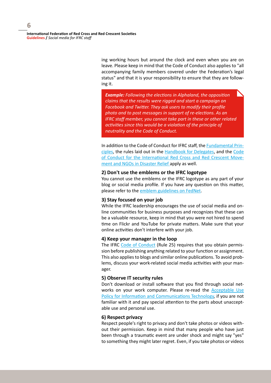**International Federation of Red Cross and Red Crescent Societies Guidelines /** *Social media for IFRC staff*

> ing working hours but around the clock and even when you are on leave. Please keep in mind that the Code of Conduct also applies to "all accompanying family members covered under the Federation's legal status" and that it is your responsibility to ensure that they are following it.

*Example: Following the elections in Alphaland, the opposition claims that the results were rigged and start a campaign on Facebook and Twitter. They ask users to modify their profile photo and to post messages in support of re-elections. As an IFRC staff member, you cannot take part in these or other related activities since this would be a violation of the principle of neutrality and the Code of Conduct.*

In addition to the Code of Conduct for IFRC staff, the [Fundamental Prin](http://www.ifrc.org/what/values/principles/index.asp)[ciples](http://www.ifrc.org/what/values/principles/index.asp), the rules laid out in the [Handbook for Delegates,](https://fednet.ifrc.org/sw84438.asp) and the [Code](http://www.ifrc.org/publicat/conduct/)  [of Conduct for the International Red Cross and Red Crescent Move](http://www.ifrc.org/publicat/conduct/)[ment and NGOs in Disaster Relief](http://www.ifrc.org/publicat/conduct/) apply as well.

#### **2) Don't use the emblems or the IFRC logotype**

You cannot use the emblems or the IFRC logotype as any part of your blog or social media profile. If you have any question on this matter, please refer to the [emblem guidelines on FedNet](https://fednet.ifrc.org/sw98162.asp).

#### **3) Stay focused on your job**

While the IFRC leadership encourages the use of social media and online communities for business purposes and recognizes that these can be a valuable resource, keep in mind that you were not hired to spend time on Flickr and YouTube for private matters. Make sure that your online activities don't interfere with your job.

#### **4) Keep your manager in the loop**

The IFRC [Code of Conduct](https://fednet.ifrc.org/sw6001.asp) (Rule 25) requires that you obtain permission before publishing anything related to your function or assignment. This also applies to blogs and similar online publications. To avoid problems, discuss your work-related social media activities with your manager.

#### **5) Observe IT security rules**

Don't download or install software that you find through social networks on your work computer. Please re-read the **Acceptable Use** [Policy for Information and Communications Technology,](https://fednet.ifrc.org/sw7759.asp) if you are not familiar with it and pay special attention to the parts about unacceptable use and personal use.

## **6) Respect privacy**

Respect people's right to privacy and don't take photos or videos without their permission. Keep in mind that many people who have just been through a traumatic event are under shock and might say "yes" to something they might later regret. Even, if you take photos or videos

**6**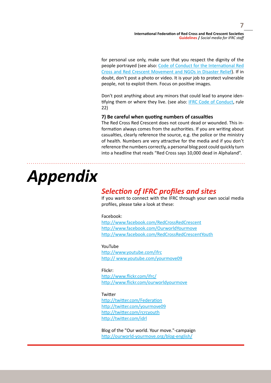**7**

for personal use only, make sure that you respect the dignity of the people portrayed (see also: Code of Conduct for the International Red Cross and Red Crescent Movement and NGOs in Disaster Relief). If in doubt, don't post a photo or video. It is your job to protect vulnerable people, not to exploit them. Focus on positive images.

Don't post anything about any minors that could lead to anyone identifying them or where they live. (see also: [IFRC Code of Conduct](https://fednet.ifrc.org/graphics/Fednet_files/Human_Resources_06/Recruitment/Recruitment_Geneva_staff_06-055/Human_Resources/Staff Code of Conduct 2007.pdf), rule 22)

## **7) Be careful when quoting numbers of casualties**

The Red Cross Red Crescent does not count dead or wounded. This information always comes from the authorities. If you are writing about casualties, clearly reference the source, e.g. the police or the ministry of health. Numbers are very attractive for the media and if you don't reference the numbers correctly, a personal blog post could quickly turn into a headline that reads "Red Cross says 10,000 dead in Alphaland".

# *Appendix*

# *Selection of IFRC profiles and sites*

If you want to connect with the IFRC through your own social media profiles, please take a look at these:

#### Facebook:

<http://www.facebook.com/RedCrossRedCrescent> <http://www.facebook.com/OurworldYourmove> <http://www.facebook.com/RedCrossRedCrescentYouth>

#### YouTube

<http://www.youtube.com/ifrc> [http:// www.youtube.com/yourmove0](http:// www.youtube.com/yourmove09)9

#### Flickr:

<http://www.flickr.com/ifrc/> <http://www.flickr.com/ourworldyourmove>

#### **Twitter**

[http://twitter.com/Federatio](http://twitter.com/Federation)n [http://twitter.com/yourmove0](http://twitter.com/yourmove09)9 <http://twitter.com/rcrcyouth> <http://twitter.com/idrl>

Blog of the "Our world. Your move."-campaign <http://ourworld-yourmove.org/blog-english/>